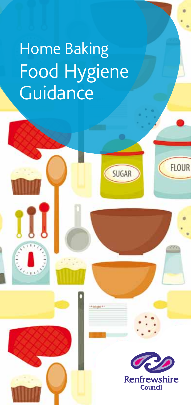# Home Baking Food Hygiene **Guidance**

λT



**FLOUR** 

SUGAR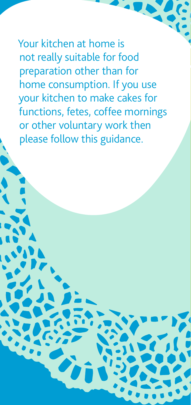Your kitchen at home is not really suitable for food preparation other than for home consumption. If you use your kitchen to make cakes for functions, fetes, coffee mornings or other voluntary work then please follow this guidance.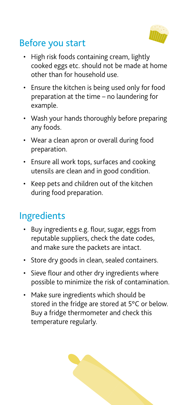

## Before you start

- High risk foods containing cream, lightly cooked eggs etc. should not be made at home other than for household use.
- Ensure the kitchen is being used only for food preparation at the time – no laundering for example.
- Wash your hands thoroughly before preparing any foods.
- Wear a clean apron or overall during food preparation.
- • Ensure all work tops, surfaces and cooking utensils are clean and in good condition.
- • Keep pets and children out of the kitchen during food preparation.

### Ingredients

- Buy ingredients e.g. flour, sugar, eggs from reputable suppliers, check the date codes, and make sure the packets are intact.
- Store dry goods in clean, sealed containers.
- Sieve flour and other dry ingredients where possible to minimize the risk of contamination.
- Make sure ingredients which should be stored in the fridge are stored at 5°C or below. Buy a fridge thermometer and check this temperature regularly.

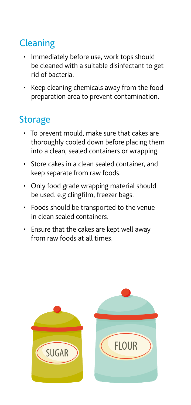## **Cleaning**

- Immediately before use, work tops should be cleaned with a suitable disinfectant to get rid of bacteria.
- • Keep cleaning chemicals away from the food preparation area to prevent contamination.

## **Storage**

- • To prevent mould, make sure that cakes are thoroughly cooled down before placing them into a clean, sealed containers or wrapping.
- • Store cakes in a clean sealed container, and keep separate from raw foods.
- Only food grade wrapping material should be used. e.g clingfilm, freezer bags.
- • Foods should be transported to the venue in clean sealed containers.
- • Ensure that the cakes are kept well away from raw foods at all times.

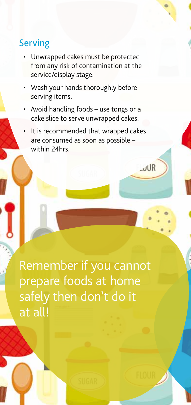#### Serving

- Unwrapped cakes must be protected from any risk of contamination at the service/display stage.
- Wash your hands thoroughly before serving items.
- Avoid handling foods use tongs or a cake slice to serve unwrapped cakes.
- It is recommended that wrapped cakes are consumed as soon as possible – within 24hrs

 $UIR$ 

Remember if you cannot prepare foods at home safely then don't do it at all!